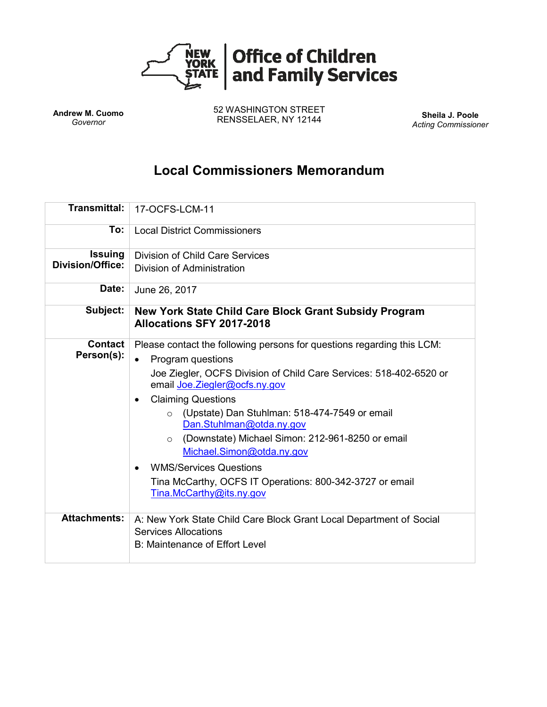

**Andrew M. Cuomo** *Governor*

52 WASHINGTON STREET RENSSELAER, NY 12144 **Sheila J. Poole**

*Acting Commissioner*

# **Local Commissioners Memorandum**

| <b>Transmittal:</b>                       | 17-OCFS-LCM-11                                                                                                                                                                                                                                                                                                                                                                                                                                                                                                                                                              |
|-------------------------------------------|-----------------------------------------------------------------------------------------------------------------------------------------------------------------------------------------------------------------------------------------------------------------------------------------------------------------------------------------------------------------------------------------------------------------------------------------------------------------------------------------------------------------------------------------------------------------------------|
| To:                                       | <b>Local District Commissioners</b>                                                                                                                                                                                                                                                                                                                                                                                                                                                                                                                                         |
| <b>Issuing</b><br><b>Division/Office:</b> | Division of Child Care Services<br>Division of Administration                                                                                                                                                                                                                                                                                                                                                                                                                                                                                                               |
| Date:                                     | June 26, 2017                                                                                                                                                                                                                                                                                                                                                                                                                                                                                                                                                               |
| Subject:                                  | New York State Child Care Block Grant Subsidy Program<br>Allocations SFY 2017-2018                                                                                                                                                                                                                                                                                                                                                                                                                                                                                          |
| Contact<br>Person(s):                     | Please contact the following persons for questions regarding this LCM:<br>Program questions<br>$\bullet$<br>Joe Ziegler, OCFS Division of Child Care Services: 518-402-6520 or<br>email Joe. Ziegler@ocfs.ny.gov<br><b>Claiming Questions</b><br>$\bullet$<br>o (Upstate) Dan Stuhlman: 518-474-7549 or email<br>Dan.Stuhlman@otda.ny.gov<br>(Downstate) Michael Simon: 212-961-8250 or email<br>$\circ$<br>Michael.Simon@otda.ny.gov<br><b>WMS/Services Questions</b><br>$\bullet$<br>Tina McCarthy, OCFS IT Operations: 800-342-3727 or email<br>Tina.McCarthy@its.ny.gov |
| <b>Attachments:</b>                       | A: New York State Child Care Block Grant Local Department of Social<br><b>Services Allocations</b><br>B: Maintenance of Effort Level                                                                                                                                                                                                                                                                                                                                                                                                                                        |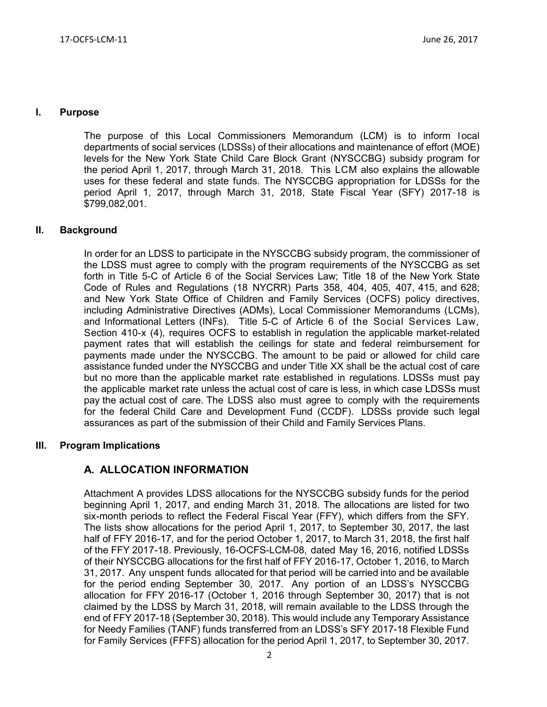#### **I. Purpose**

The purpose of this Local Commissioners Memorandum (LCM) is to inform local departments of social services (LDSSs) of their allocations and maintenance of effort (MOE) levels for the New York State Child Care Block Grant (NYSCCBG) subsidy program for the period April 1, 2017, through March 31, 2018. This LCM also explains the allowable uses for these federal and state funds. The NYSCCBG appropriation for LDSSs for the period April 1, 2017, through March 31, 2018, State Fiscal Year (SFY) 2017-18 is \$799,082,001.

#### **II. Background**

In order for an LDSS to participate in the NYSCCBG subsidy program, the commissioner of the LDSS must agree to comply with the program requirements of the NYSCCBG as set forth in Title 5-C of Article 6 of the Social Services Law; Title 18 of the New York State Code of Rules and Regulations (18 NYCRR) Parts 358, 404, 405, 407, 415, and 628; and New York State Office of Children and Family Services (OCFS) policy directives, including Administrative Directives (ADMs), Local Commissioner Memorandums (LCMs), and Informational Letters (INFs). Title 5-C of Article 6 of the Social Services Law, Section 410-x (4), requires OCFS to establish in regulation the applicable market-related payment rates that will establish the ceilings for state and federal reimbursement for payments made under the NYSCCBG. The amount to be paid or allowed for child care assistance funded under the NYSCCBG and under Title XX shall be the actual cost of care but no more than the applicable market rate established in regulations. LDSSs must pay the applicable market rate unless the actual cost of care is less, in which case LDSSs must pay the actual cost of care. The LDSS also must agree to comply with the requirements for the federal Child Care and Development Fund (CCDF). LDSSs provide such legal assurances as part of the submission of their Child and Family Services Plans.

#### **III. Program Implications**

### **A. ALLOCATION INFORMATION**

Attachment A provides LDSS allocations for the NYSCCBG subsidy funds for the period beginning April 1, 2017, and ending March 31, 2018. The allocations are listed for two six-month periods to reflect the Federal Fiscal Year (FFY), which differs from the SFY. The lists show allocations for the period April 1, 2017, to September 30, 2017, the last half of FFY 2016-17, and for the period October 1, 2017, to March 31, 2018, the first half of the FFY 2017-18. Previously, 16-OCFS-LCM-08, dated May 16, 2016, notified LDSSs of their NYSCCBG allocations for the first half of FFY 2016-17, October 1, 2016, to March 31, 2017. Any unspent funds allocated for that period will be carried into and be available for the period ending September 30, 2017. Any portion of an LDSS's NYSCCBG allocation for FFY 2016-17 (October 1, 2016 through September 30, 2017) that is not claimed by the LDSS by March 31, 2018, will remain available to the LDSS through the end of FFY 2017-18 (September 30, 2018). This would include any Temporary Assistance for Needy Families (TANF) funds transferred from an LDSS's SFY 2017-18 Flexible Fund for Family Services (FFFS) allocation for the period April 1, 2017, to September 30, 2017.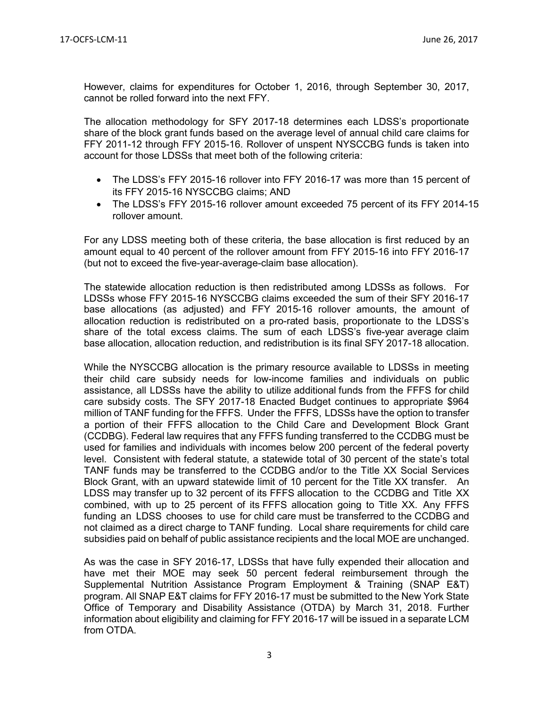However, claims for expenditures for October 1, 2016, through September 30, 2017, cannot be rolled forward into the next FFY.

The allocation methodology for SFY 2017-18 determines each LDSS's proportionate share of the block grant funds based on the average level of annual child care claims for FFY 2011-12 through FFY 2015-16. Rollover of unspent NYSCCBG funds is taken into account for those LDSSs that meet both of the following criteria:

- The LDSS's FFY 2015-16 rollover into FFY 2016-17 was more than 15 percent of its FFY 2015-16 NYSCCBG claims; AND
- The LDSS's FFY 2015-16 rollover amount exceeded 75 percent of its FFY 2014-15 rollover amount.

For any LDSS meeting both of these criteria, the base allocation is first reduced by an amount equal to 40 percent of the rollover amount from FFY 2015-16 into FFY 2016-17 (but not to exceed the five-year-average-claim base allocation).

The statewide allocation reduction is then redistributed among LDSSs as follows. For LDSSs whose FFY 2015-16 NYSCCBG claims exceeded the sum of their SFY 2016-17 base allocations (as adjusted) and FFY 2015-16 rollover amounts, the amount of allocation reduction is redistributed on a pro-rated basis, proportionate to the LDSS's share of the total excess claims. The sum of each LDSS's five-year average claim base allocation, allocation reduction, and redistribution is its final SFY 2017-18 allocation.

While the NYSCCBG allocation is the primary resource available to LDSSs in meeting their child care subsidy needs for low-income families and individuals on public assistance, all LDSSs have the ability to utilize additional funds from the FFFS for child care subsidy costs. The SFY 2017-18 Enacted Budget continues to appropriate \$964 million of TANF funding for the FFFS. Under the FFFS, LDSSs have the option to transfer a portion of their FFFS allocation to the Child Care and Development Block Grant (CCDBG). Federal law requires that any FFFS funding transferred to the CCDBG must be used for families and individuals with incomes below 200 percent of the federal poverty level. Consistent with federal statute, a statewide total of 30 percent of the state's total TANF funds may be transferred to the CCDBG and/or to the Title XX Social Services Block Grant, with an upward statewide limit of 10 percent for the Title XX transfer. An LDSS may transfer up to 32 percent of its FFFS allocation to the CCDBG and Title XX combined, with up to 25 percent of its FFFS allocation going to Title XX. Any FFFS funding an LDSS chooses to use for child care must be transferred to the CCDBG and not claimed as a direct charge to TANF funding. Local share requirements for child care subsidies paid on behalf of public assistance recipients and the local MOE are unchanged.

As was the case in SFY 2016-17, LDSSs that have fully expended their allocation and have met their MOE may seek 50 percent federal reimbursement through the Supplemental Nutrition Assistance Program Employment & Training (SNAP E&T) program. All SNAP E&T claims for FFY 2016-17 must be submitted to the New York State Office of Temporary and Disability Assistance (OTDA) by March 31, 2018. Further information about eligibility and claiming for FFY 2016-17 will be issued in a separate LCM from OTDA.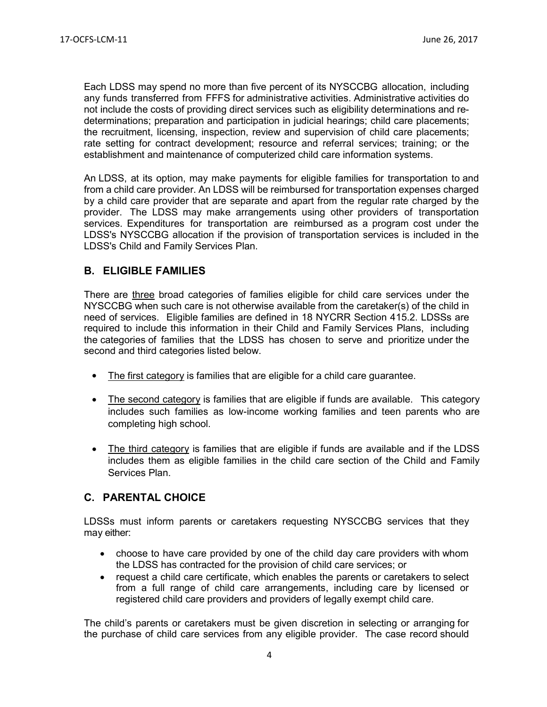Each LDSS may spend no more than five percent of its NYSCCBG allocation, including any funds transferred from FFFS for administrative activities. Administrative activities do not include the costs of providing direct services such as eligibility determinations and redeterminations; preparation and participation in judicial hearings; child care placements; the recruitment, licensing, inspection, review and supervision of child care placements; rate setting for contract development; resource and referral services; training; or the establishment and maintenance of computerized child care information systems.

An LDSS, at its option, may make payments for eligible families for transportation to and from a child care provider. An LDSS will be reimbursed for transportation expenses charged by a child care provider that are separate and apart from the regular rate charged by the provider. The LDSS may make arrangements using other providers of transportation services. Expenditures for transportation are reimbursed as a program cost under the LDSS's NYSCCBG allocation if the provision of transportation services is included in the LDSS's Child and Family Services Plan.

## **B. ELIGIBLE FAMILIES**

There are three broad categories of families eligible for child care services under the NYSCCBG when such care is not otherwise available from the caretaker(s) of the child in need of services. Eligible families are defined in 18 NYCRR Section 415.2. LDSSs are required to include this information in their Child and Family Services Plans, including the categories of families that the LDSS has chosen to serve and prioritize under the second and third categories listed below.

- The first category is families that are eligible for a child care guarantee.
- The second category is families that are eligible if funds are available. This category includes such families as low-income working families and teen parents who are completing high school.
- The third category is families that are eligible if funds are available and if the LDSS includes them as eligible families in the child care section of the Child and Family Services Plan.

# **C. PARENTAL CHOICE**

LDSSs must inform parents or caretakers requesting NYSCCBG services that they may either:

- choose to have care provided by one of the child day care providers with whom the LDSS has contracted for the provision of child care services; or
- request a child care certificate, which enables the parents or caretakers to select from a full range of child care arrangements, including care by licensed or registered child care providers and providers of legally exempt child care.

The child's parents or caretakers must be given discretion in selecting or arranging for the purchase of child care services from any eligible provider. The case record should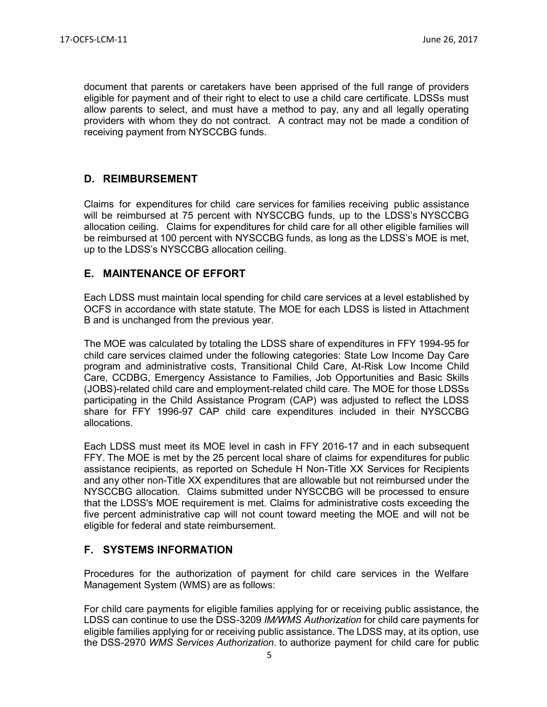document that parents or caretakers have been apprised of the full range of providers eligible for payment and of their right to elect to use a child care certificate. LDSSs must allow parents to select, and must have a method to pay, any and all legally operating providers with whom they do not contract. A contract may not be made a condition of receiving payment from NYSCCBG funds.

## **D. REIMBURSEMENT**

Claims for expenditures for child care services for families receiving public assistance will be reimbursed at 75 percent with NYSCCBG funds, up to the LDSS's NYSCCBG allocation ceiling. Claims for expenditures for child care for all other eligible families will be reimbursed at 100 percent with NYSCCBG funds, as long as the LDSS's MOE is met, up to the LDSS's NYSCCBG allocation ceiling.

## **E. MAINTENANCE OF EFFORT**

Each LDSS must maintain local spending for child care services at a level established by OCFS in accordance with state statute. The MOE for each LDSS is listed in Attachment B and is unchanged from the previous year.

The MOE was calculated by totaling the LDSS share of expenditures in FFY 1994-95 for child care services claimed under the following categories: State Low Income Day Care program and administrative costs, Transitional Child Care, At-Risk Low Income Child Care, CCDBG, Emergency Assistance to Families, Job Opportunities and Basic Skills (JOBS)-related child care and employment-related child care. The MOE for those LDSSs participating in the Child Assistance Program (CAP) was adjusted to reflect the LDSS share for FFY 1996-97 CAP child care expenditures included in their NYSCCBG allocations.

Each LDSS must meet its MOE level in cash in FFY 2016-17 and in each subsequent FFY. The MOE is met by the 25 percent local share of claims for expenditures for public assistance recipients, as reported on Schedule H Non-Title XX Services for Recipients and any other non-Title XX expenditures that are allowable but not reimbursed under the NYSCCBG allocation. Claims submitted under NYSCCBG will be processed to ensure that the LDSS's MOE requirement is met. Claims for administrative costs exceeding the five percent administrative cap will not count toward meeting the MOE and will not be eligible for federal and state reimbursement.

# **F. SYSTEMS INFORMATION**

Procedures for the authorization of payment for child care services in the Welfare Management System (WMS) are as follows:

For child care payments for eligible families applying for or receiving public assistance, the LDSS can continue to use the DSS-3209 *IM/WMS Authorization* for child care payments for eligible families applying for or receiving public assistance. The LDSS may, at its option, use the DSS-2970 *WMS Services Authorization*. to authorize payment for child care for public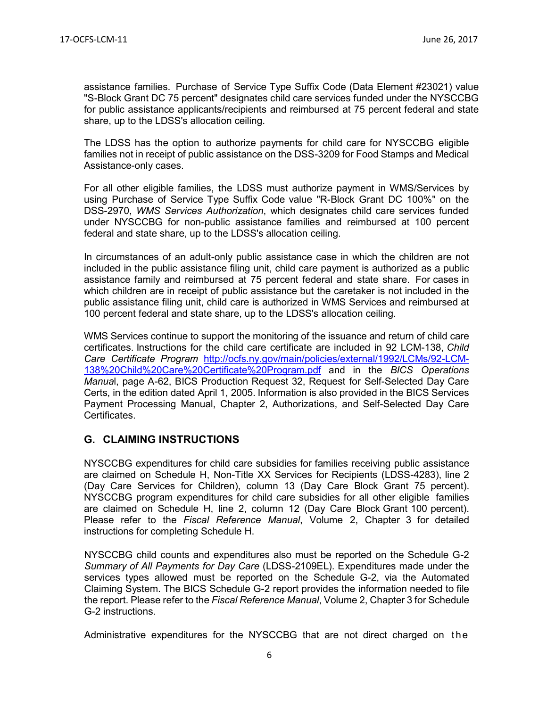assistance families. Purchase of Service Type Suffix Code (Data Element #23021) value "S-Block Grant DC 75 percent" designates child care services funded under the NYSCCBG for public assistance applicants/recipients and reimbursed at 75 percent federal and state share, up to the LDSS's allocation ceiling.

The LDSS has the option to authorize payments for child care for NYSCCBG eligible families not in receipt of public assistance on the DSS-3209 for Food Stamps and Medical Assistance-only cases.

For all other eligible families, the LDSS must authorize payment in WMS/Services by using Purchase of Service Type Suffix Code value "R-Block Grant DC 100%" on the DSS-2970, *WMS Services Authorization*, which designates child care services funded under NYSCCBG for non-public assistance families and reimbursed at 100 percent federal and state share, up to the LDSS's allocation ceiling.

In circumstances of an adult-only public assistance case in which the children are not included in the public assistance filing unit, child care payment is authorized as a public assistance family and reimbursed at 75 percent federal and state share. For cases in which children are in receipt of public assistance but the caretaker is not included in the public assistance filing unit, child care is authorized in WMS Services and reimbursed at 100 percent federal and state share, up to the LDSS's allocation ceiling.

WMS Services continue to support the monitoring of the issuance and return of child care certificates. Instructions for the child care certificate are included in 92 LCM-138, *Child Care Certificate Program* [http://ocfs.ny.gov/main/policies/external/1992/LCMs/92-LCM-](http://ocfs.ny.gov/main/policies/external/1992/LCMs/92-LCM-138%20Child%20Care%20Certificate%20Program.pdf)[138%20Child%20Care%20Certificate%20Program.pdf](http://ocfs.ny.gov/main/policies/external/1992/LCMs/92-LCM-138%20Child%20Care%20Certificate%20Program.pdf) and in the *BICS Operations Manua*l, page A-62, BICS Production Request 32, Request for Self-Selected Day Care Certs, in the edition dated April 1, 2005. Information is also provided in the BICS Services Payment Processing Manual, Chapter 2, Authorizations, and Self-Selected Day Care Certificates.

# **G. CLAIMING INSTRUCTIONS**

NYSCCBG expenditures for child care subsidies for families receiving public assistance are claimed on Schedule H, Non-Title XX Services for Recipients (LDSS-4283), line 2 (Day Care Services for Children), column 13 (Day Care Block Grant 75 percent). NYSCCBG program expenditures for child care subsidies for all other eligible families are claimed on Schedule H, line 2, column 12 (Day Care Block Grant 100 percent). Please refer to the *Fiscal Reference Manual*, Volume 2, Chapter 3 for detailed instructions for completing Schedule H.

NYSCCBG child counts and expenditures also must be reported on the Schedule G-2 *Summary of All Payments for Day Care* (LDSS-2109EL). Expenditures made under the services types allowed must be reported on the Schedule G-2, via the Automated Claiming System. The BICS Schedule G-2 report provides the information needed to file the report. Please refer to the *Fiscal Reference Manual*, Volume 2, Chapter 3 for Schedule G-2 instructions.

Administrative expenditures for the NYSCCBG that are not direct charged on the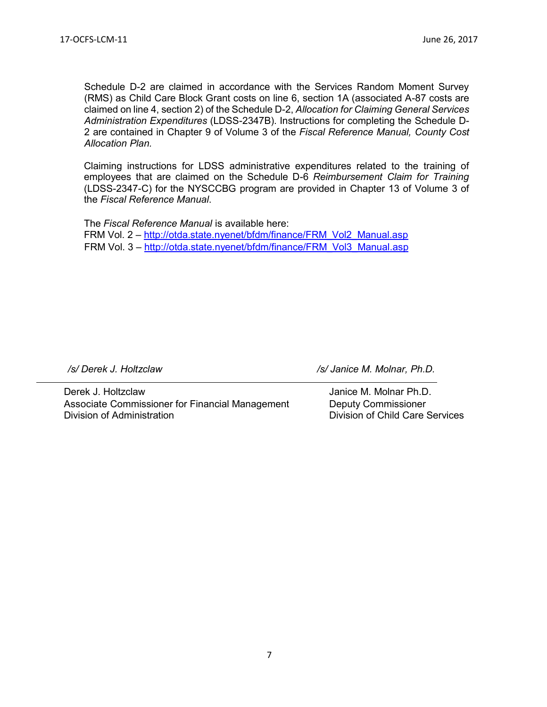Schedule D-2 are claimed in accordance with the Services Random Moment Survey (RMS) as Child Care Block Grant costs on line 6, section 1A (associated A-87 costs are claimed on line 4, section 2) of the Schedule D-2, *Allocation for Claiming General Services Administration Expenditures* (LDSS-2347B). Instructions for completing the Schedule D-2 are contained in Chapter 9 of Volume 3 of the *Fiscal Reference Manual, County Cost Allocation Plan.* 

Claiming instructions for LDSS administrative expenditures related to the training of employees that are claimed on the Schedule D-6 *Reimbursement Claim for Training* (LDSS-2347-C) for the NYSCCBG program are provided in Chapter 13 of Volume 3 of the *Fiscal Reference Manual*.

The *Fiscal Reference Manual* is available here: FRM Vol. 2 – [http://otda.state.nyenet/bfdm/finance/FRM\\_Vol2\\_Manual.asp](http://otda.state.nyenet/bfdm/finance/FRM_Vol2_Manual.asp) FRM Vol. 3 – [http://otda.state.nyenet/bfdm/finance/FRM\\_Vol3\\_Manual.asp](http://otda.state.nyenet/bfdm/finance/FRM_Vol3_Manual.asp)

Derek J. Holtzclaw Janice M. Molnar Ph.D. Associate Commissioner for Financial Management Deputy Commissioner Division of Administration Division of Child Care Services

*/s/ Derek J. Holtzclaw /s/ Janice M. Molnar, Ph.D.*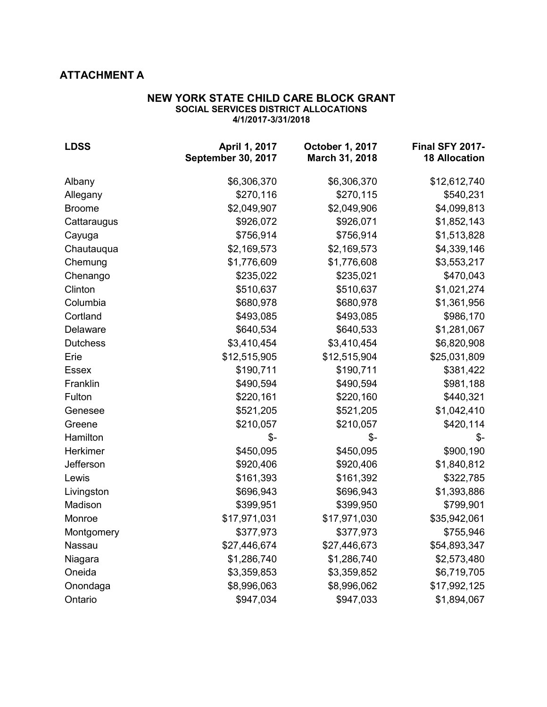# **ATTACHMENT A**

#### **NEW YORK STATE CHILD CARE BLOCK GRANT SOCIAL SERVICES DISTRICT ALLOCATIONS 4/1/2017-3/31/2018**

| <b>LDSS</b>     | April 1, 2017<br>September 30, 2017 | October 1, 2017<br>March 31, 2018 | Final SFY 2017-<br><b>18 Allocation</b> |
|-----------------|-------------------------------------|-----------------------------------|-----------------------------------------|
| Albany          | \$6,306,370                         | \$6,306,370                       | \$12,612,740                            |
| Allegany        | \$270,116                           | \$270,115                         | \$540,231                               |
| <b>Broome</b>   | \$2,049,907                         | \$2,049,906                       | \$4,099,813                             |
| Cattaraugus     | \$926,072                           | \$926,071                         | \$1,852,143                             |
| Cayuga          | \$756,914                           | \$756,914                         | \$1,513,828                             |
| Chautauqua      | \$2,169,573                         | \$2,169,573                       | \$4,339,146                             |
| Chemung         | \$1,776,609                         | \$1,776,608                       | \$3,553,217                             |
| Chenango        | \$235,022                           | \$235,021                         | \$470,043                               |
| Clinton         | \$510,637                           | \$510,637                         | \$1,021,274                             |
| Columbia        | \$680,978                           | \$680,978                         | \$1,361,956                             |
| Cortland        | \$493,085                           | \$493,085                         | \$986,170                               |
| Delaware        | \$640,534                           | \$640,533                         | \$1,281,067                             |
| <b>Dutchess</b> | \$3,410,454                         | \$3,410,454                       | \$6,820,908                             |
| Erie            | \$12,515,905                        | \$12,515,904                      | \$25,031,809                            |
| <b>Essex</b>    | \$190,711                           | \$190,711                         | \$381,422                               |
| Franklin        | \$490,594                           | \$490,594                         | \$981,188                               |
| Fulton          | \$220,161                           | \$220,160                         | \$440,321                               |
| Genesee         | \$521,205                           | \$521,205                         | \$1,042,410                             |
| Greene          | \$210,057                           | \$210,057                         | \$420,114                               |
| Hamilton        | \$-                                 | $\frac{2}{2}$                     | $\frac{2}{2}$                           |
| Herkimer        | \$450,095                           | \$450,095                         | \$900,190                               |
| Jefferson       | \$920,406                           | \$920,406                         | \$1,840,812                             |
| Lewis           | \$161,393                           | \$161,392                         | \$322,785                               |
| Livingston      | \$696,943                           | \$696,943                         | \$1,393,886                             |
| Madison         | \$399,951                           | \$399,950                         | \$799,901                               |
| Monroe          | \$17,971,031                        | \$17,971,030                      | \$35,942,061                            |
| Montgomery      | \$377,973                           | \$377,973                         | \$755,946                               |
| Nassau          | \$27,446,674                        | \$27,446,673                      | \$54,893,347                            |
| Niagara         | \$1,286,740                         | \$1,286,740                       | \$2,573,480                             |
| Oneida          | \$3,359,853                         | \$3,359,852                       | \$6,719,705                             |
| Onondaga        | \$8,996,063                         | \$8,996,062                       | \$17,992,125                            |
| Ontario         | \$947,034                           | \$947,033                         | \$1,894,067                             |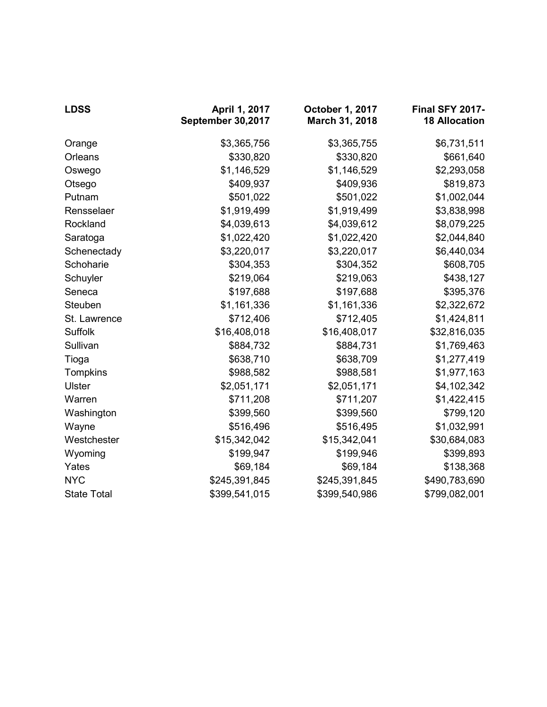| <b>LDSS</b>        | April 1, 2017<br>September 30,2017 | October 1, 2017<br>March 31, 2018 | <b>Final SFY 2017-</b><br><b>18 Allocation</b> |
|--------------------|------------------------------------|-----------------------------------|------------------------------------------------|
| Orange             | \$3,365,756                        | \$3,365,755                       | \$6,731,511                                    |
| Orleans            | \$330,820                          | \$330,820                         | \$661,640                                      |
| Oswego             | \$1,146,529                        | \$1,146,529                       | \$2,293,058                                    |
| Otsego             | \$409,937                          | \$409,936                         | \$819,873                                      |
| Putnam             | \$501,022                          | \$501,022                         | \$1,002,044                                    |
| Rensselaer         | \$1,919,499                        | \$1,919,499                       | \$3,838,998                                    |
| Rockland           | \$4,039,613                        | \$4,039,612                       | \$8,079,225                                    |
| Saratoga           | \$1,022,420                        | \$1,022,420                       | \$2,044,840                                    |
| Schenectady        | \$3,220,017                        | \$3,220,017                       | \$6,440,034                                    |
| Schoharie          | \$304,353                          | \$304,352                         | \$608,705                                      |
| Schuyler           | \$219,064                          | \$219,063                         | \$438,127                                      |
| Seneca             | \$197,688                          | \$197,688                         | \$395,376                                      |
| Steuben            | \$1,161,336                        | \$1,161,336                       | \$2,322,672                                    |
| St. Lawrence       | \$712,406                          | \$712,405                         | \$1,424,811                                    |
| Suffolk            | \$16,408,018                       | \$16,408,017                      | \$32,816,035                                   |
| Sullivan           | \$884,732                          | \$884,731                         | \$1,769,463                                    |
| Tioga              | \$638,710                          | \$638,709                         | \$1,277,419                                    |
| Tompkins           | \$988,582                          | \$988,581                         | \$1,977,163                                    |
| <b>Ulster</b>      | \$2,051,171                        | \$2,051,171                       | \$4,102,342                                    |
| Warren             | \$711,208                          | \$711,207                         | \$1,422,415                                    |
| Washington         | \$399,560                          | \$399,560                         | \$799,120                                      |
| Wayne              | \$516,496                          | \$516,495                         | \$1,032,991                                    |
| Westchester        | \$15,342,042                       | \$15,342,041                      | \$30,684,083                                   |
| Wyoming            | \$199,947                          | \$199,946                         | \$399,893                                      |
| Yates              | \$69,184                           | \$69,184                          | \$138,368                                      |
| <b>NYC</b>         | \$245,391,845                      | \$245,391,845                     | \$490,783,690                                  |
| <b>State Total</b> | \$399,541,015                      | \$399,540,986                     | \$799,082,001                                  |